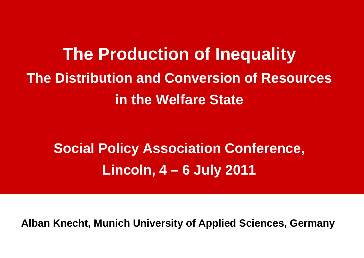**The Production of Inequality The Distribution and Conversion of Resources in the Welfare State**

**Social Policy Association Conference, Lincoln, 4 – 6 July 2011**

**Alban Knecht, Munich University of Applied Sciences, Germany**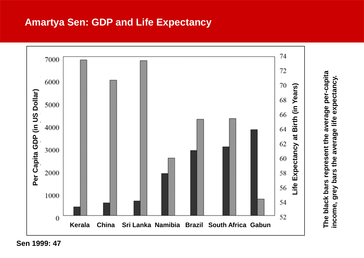## **Amartya Sen: GDP and Life Expectancy**



**Sen 1999: 47**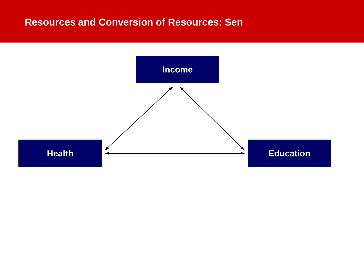## **Resources and Conversion of Resources: Sen**

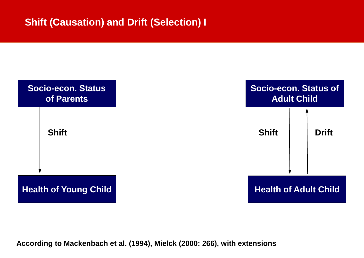## **Shift (Causation) and Drift (Selection) I**



**According to Mackenbach et al. (1994), Mielck (2000: 266), with extensions**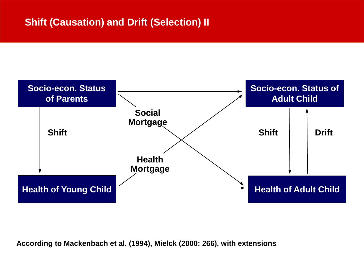## **Shift (Causation) and Drift (Selection) II**



**According to Mackenbach et al. (1994), Mielck (2000: 266), with extensions**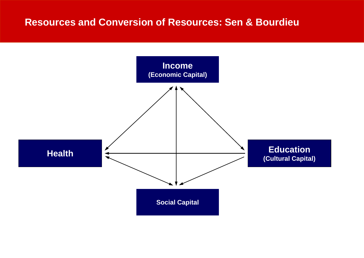## **Resources and Conversion of Resources: Sen & Bourdieu**

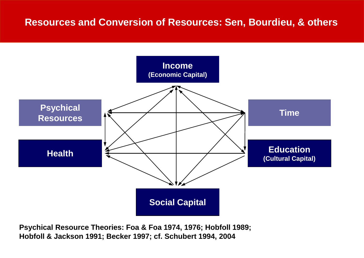

**Psychical Resource Theories: Foa & Foa 1974, 1976; Hobfoll 1989; Hobfoll & Jackson 1991; Becker 1997; cf. Schubert 1994, 2004**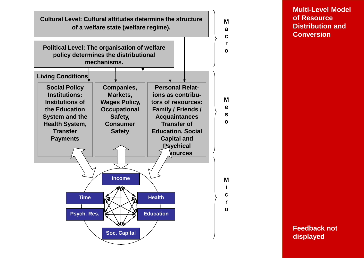

**Multi-Level Model of Resource Distribution and Conversion**

**Feedback not displayed**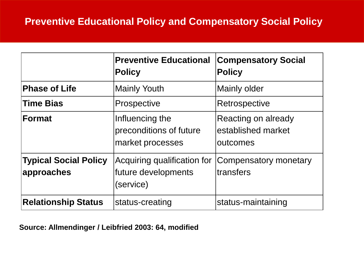## **Preventive Educational Policy and Compensatory Social Policy**

|                                             | <b>Preventive Educational</b><br><b>Policy</b>                  | <b>Compensatory Social</b><br><b>Policy</b>           |
|---------------------------------------------|-----------------------------------------------------------------|-------------------------------------------------------|
| <b>Phase of Life</b>                        | <b>Mainly Youth</b>                                             | Mainly older                                          |
| <b>Time Bias</b>                            | Prospective                                                     | Retrospective                                         |
| Format                                      | Influencing the<br>preconditions of future<br>market processes  | Reacting on already<br>established market<br>outcomes |
| <b>Typical Social Policy</b><br> approaches | Acquiring qualification for<br>future developments<br>(service) | Compensatory monetary<br>transfers                    |
| <b>Relationship Status</b>                  | status-creating                                                 | status-maintaining                                    |

#### **Source: Allmendinger / Leibfried 2003: 64, modified**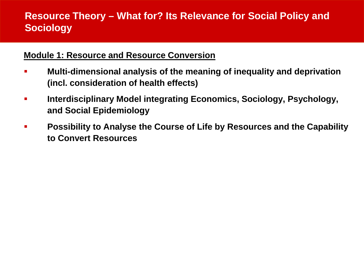## **Resource Theory – What for? Its Relevance for Social Policy and Sociology**

#### **Module 1: Resource and Resource Conversion**

- **Multi-dimensional analysis of the meaning of inequality and deprivation (incl. consideration of health effects)**
- **Interdisciplinary Model integrating Economics, Sociology, Psychology, and Social Epidemiology**
- **Possibility to Analyse the Course of Life by Resources and the Capability to Convert Resources**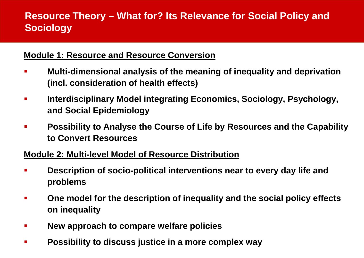## **Resource Theory – What for? Its Relevance for Social Policy and Sociology**

#### **Module 1: Resource and Resource Conversion**

- **Multi-dimensional analysis of the meaning of inequality and deprivation (incl. consideration of health effects)**
- **Interdisciplinary Model integrating Economics, Sociology, Psychology, and Social Epidemiology**
- **Possibility to Analyse the Course of Life by Resources and the Capability to Convert Resources**

#### **Module 2: Multi-level Model of Resource Distribution**

- **Description of socio-political interventions near to every day life and problems**
- **One model for the description of inequality and the social policy effects on inequality**
- **New approach to compare welfare policies**
- **Possibility to discuss justice in a more complex way**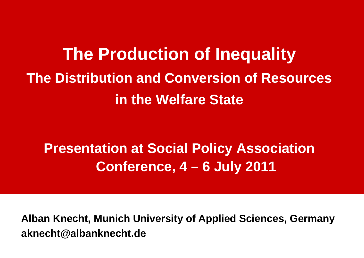# **The Production of Inequality The Distribution and Conversion of Resources in the Welfare State**

## **Presentation at Social Policy Association Conference, 4 – 6 July 2011**

**Alban Knecht, Munich University of Applied Sciences, Germany aknecht@albanknecht.de**